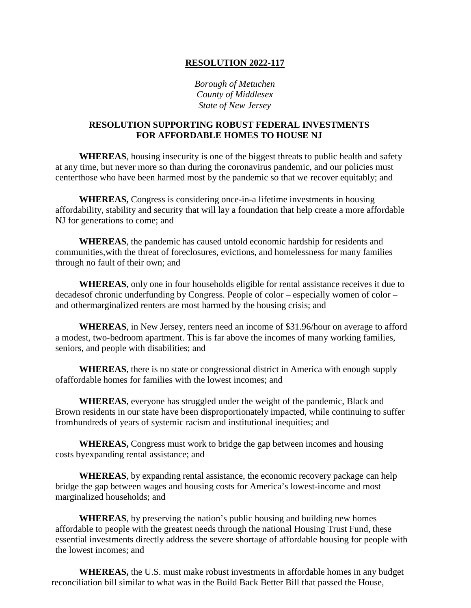## **RESOLUTION 2022-117**

*Borough of Metuchen County of Middlesex State of New Jersey*

## **RESOLUTION SUPPORTING ROBUST FEDERAL INVESTMENTS FOR AFFORDABLE HOMES TO HOUSE NJ**

**WHEREAS**, housing insecurity is one of the biggest threats to public health and safety at any time, but never more so than during the coronavirus pandemic, and our policies must centerthose who have been harmed most by the pandemic so that we recover equitably; and

**WHEREAS,** Congress is considering once-in-a lifetime investments in housing affordability, stability and security that will lay a foundation that help create a more affordable NJ for generations to come; and

**WHEREAS**, the pandemic has caused untold economic hardship for residents and communities,with the threat of foreclosures, evictions, and homelessness for many families through no fault of their own; and

**WHEREAS**, only one in four households eligible for rental assistance receives it due to decadesof chronic underfunding by Congress. People of color – especially women of color – and othermarginalized renters are most harmed by the housing crisis; and

**WHEREAS**, in New Jersey, renters need an income of \$31.96/hour on average to afford a modest, two-bedroom apartment. This is far above the incomes of many working families, seniors, and people with disabilities; and

**WHEREAS**, there is no state or congressional district in America with enough supply ofaffordable homes for families with the lowest incomes; and

**WHEREAS**, everyone has struggled under the weight of the pandemic, Black and Brown residents in our state have been disproportionately impacted, while continuing to suffer fromhundreds of years of systemic racism and institutional inequities; and

**WHEREAS,** Congress must work to bridge the gap between incomes and housing costs byexpanding rental assistance; and

**WHEREAS**, by expanding rental assistance, the economic recovery package can help bridge the gap between wages and housing costs for America's lowest-income and most marginalized households; and

**WHEREAS**, by preserving the nation's public housing and building new homes affordable to people with the greatest needs through the national Housing Trust Fund, these essential investments directly address the severe shortage of affordable housing for people with the lowest incomes; and

**WHEREAS,** the U.S. must make robust investments in affordable homes in any budget reconciliation bill similar to what was in the Build Back Better Bill that passed the House,